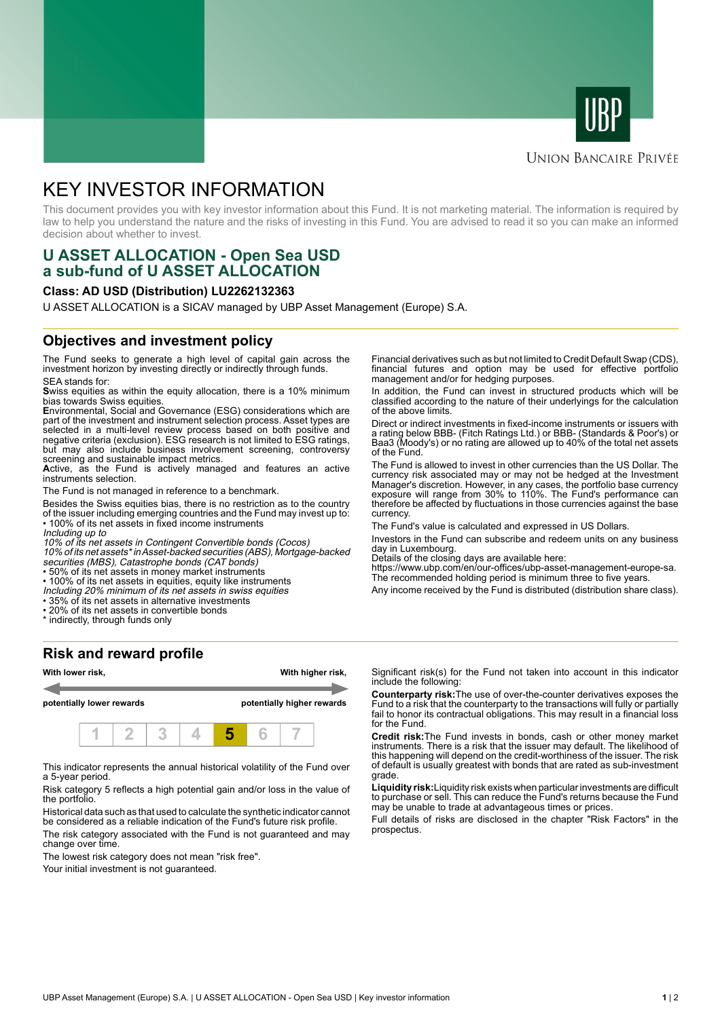



## **UNION BANCAIRE PRIVÉE**

# KEY INVESTOR INFORMATION

This document provides you with key investor information about this Fund. It is not marketing material. The information is required by law to help you understand the nature and the risks of investing in this Fund. You are advised to read it so you can make an informed decision about whether to invest.

# **U ASSET ALLOCATION - Open Sea USD a sub-fund of U ASSET ALLOCATION**

#### **Class: AD USD (Distribution) LU2262132363**

U ASSET ALLOCATION is a SICAV managed by UBP Asset Management (Europe) S.A.

### **Objectives and investment policy**

The Fund seeks to generate a high level of capital gain across the investment horizon by investing directly or indirectly through funds. SEA stands for:

**S**wiss equities as within the equity allocation, there is a 10% minimum bias towards Swiss equities.

**E**nvironmental, Social and Governance (ESG) considerations which are part of the investment and instrument selection process. Asset types are selected in a multi-level review process based on both positive and negative criteria (exclusion). ESG research is not limited to ESG ratings, but may also include business involvement screening, controversy screening and sustainable impact metrics.

**A**ctive, as the Fund is actively managed and features an active instruments selection.

The Fund is not managed in reference to a benchmark.

Besides the Swiss equities bias, there is no restriction as to the country of the issuer including emerging countries and the Fund may invest up to: • 100% of its net assets in fixed income instruments

Including up to

10% of its net assets in Contingent Convertible bonds (Cocos)

10% of its net assets\* in Asset-backed securities (ABS), Mortgage-backed securities (MBS), Catastrophe bonds (CAT bonds)

• 50% of its net assets in money market instruments

• 100% of its net assets in equities, equity like instruments

Including 20% minimum of its net assets in swiss equities

• 35% of its net assets in alternative investments

• 20% of its net assets in convertible bonds

\* indirectly, through funds only

#### **Risk and reward profile**



This indicator represents the annual historical volatility of the Fund over a 5-year period.

Risk category 5 reflects a high potential gain and/or loss in the value of the portfolio.

Historical data such as that used to calculate the synthetic indicator cannot be considered as a reliable indication of the Fund's future risk profile.

The risk category associated with the Fund is not guaranteed and may change over time.

The lowest risk category does not mean "risk free".

Your initial investment is not guaranteed.

Financial derivatives such as but not limited to Credit Default Swap (CDS), financial futures and option may be used for effective portfolio management and/or for hedging purposes.

In addition, the Fund can invest in structured products which will be classified according to the nature of their underlyings for the calculation of the above limits.

Direct or indirect investments in fixed-income instruments or issuers with a rating below BBB- (Fitch Ratings Ltd.) or BBB- (Standards & Poor's) or Baa3 (Moody's) or no rating are allowed up to 40% of the total net assets of the Fund.

The Fund is allowed to invest in other currencies than the US Dollar. The currency risk associated may or may not be hedged at the Investment Manager's discretion. However, in any cases, the portfolio base currency exposure will range from 30% to 110%. The Fund's performance can therefore be affected by fluctuations in those currencies against the base currency.

The Fund's value is calculated and expressed in US Dollars.

Investors in the Fund can subscribe and redeem units on any business day in Luxembourg.

Details of the closing days are available here:

https://www.ubp.com/en/our-offices/ubp-asset-management-europe-sa. The recommended holding period is minimum three to five years.

Any income received by the Fund is distributed (distribution share class).

Significant risk(s) for the Fund not taken into account in this indicator include the following:

**Counterparty risk:**The use of over-the-counter derivatives exposes the Fund to a risk that the counterparty to the transactions will fully or partially fail to honor its contractual obligations. This may result in a financial loss for the Fund.

**Credit risk:**The Fund invests in bonds, cash or other money market instruments. There is a risk that the issuer may default. The likelihood of this happening will depend on the credit-worthiness of the issuer. The risk of default is usually greatest with bonds that are rated as sub-investment grade.

**Liquidity risk:**Liquidity risk exists when particular investments are difficult to purchase or sell. This can reduce the Fund's returns because the Fund may be unable to trade at advantageous times or prices.

Full details of risks are disclosed in the chapter "Risk Factors" in the prospectus.